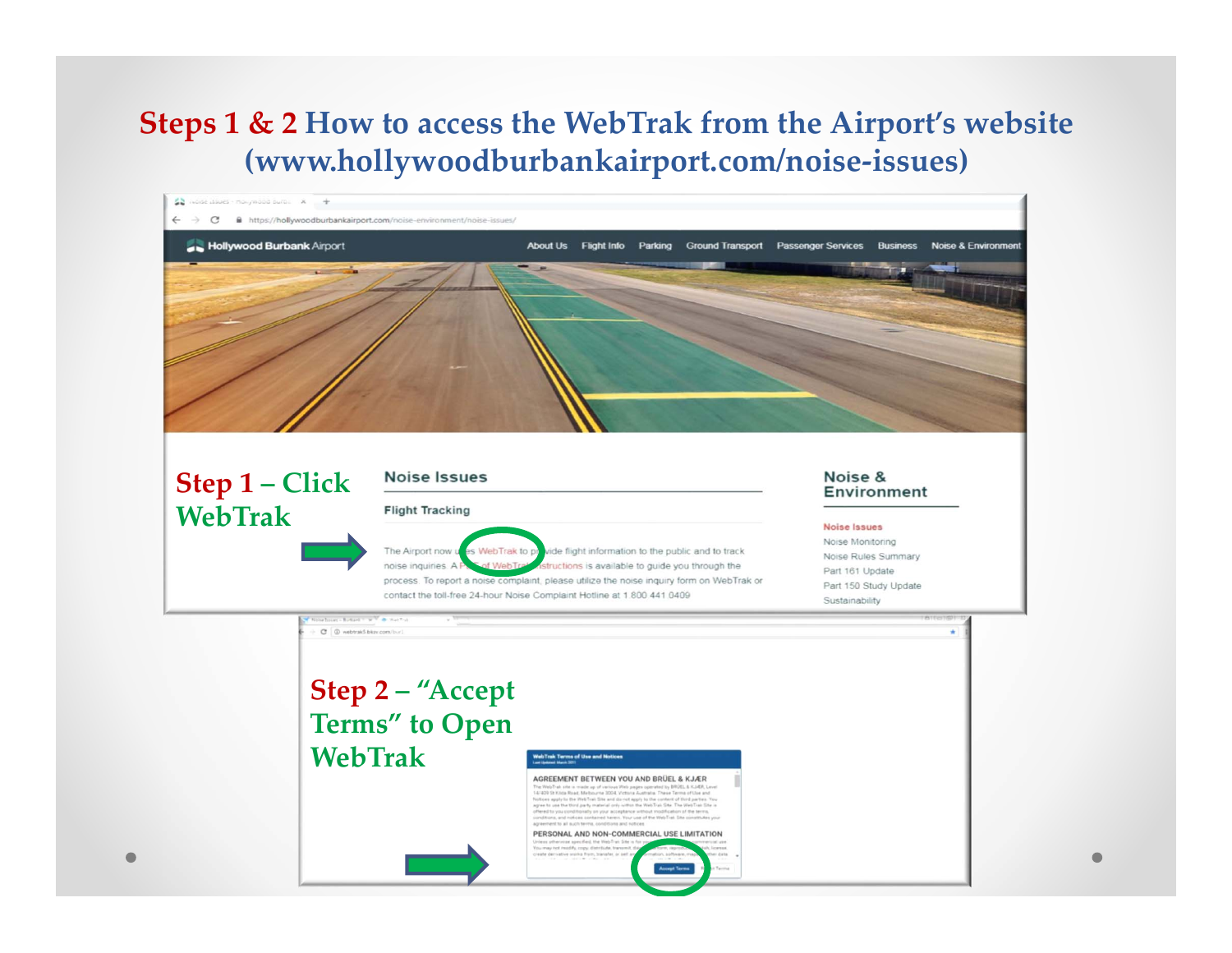### **Steps <sup>1</sup> & <sup>2</sup> How to access the WebTrak from the Airport's website (www.hollywoodburbankairport.com/noise‐issues)**

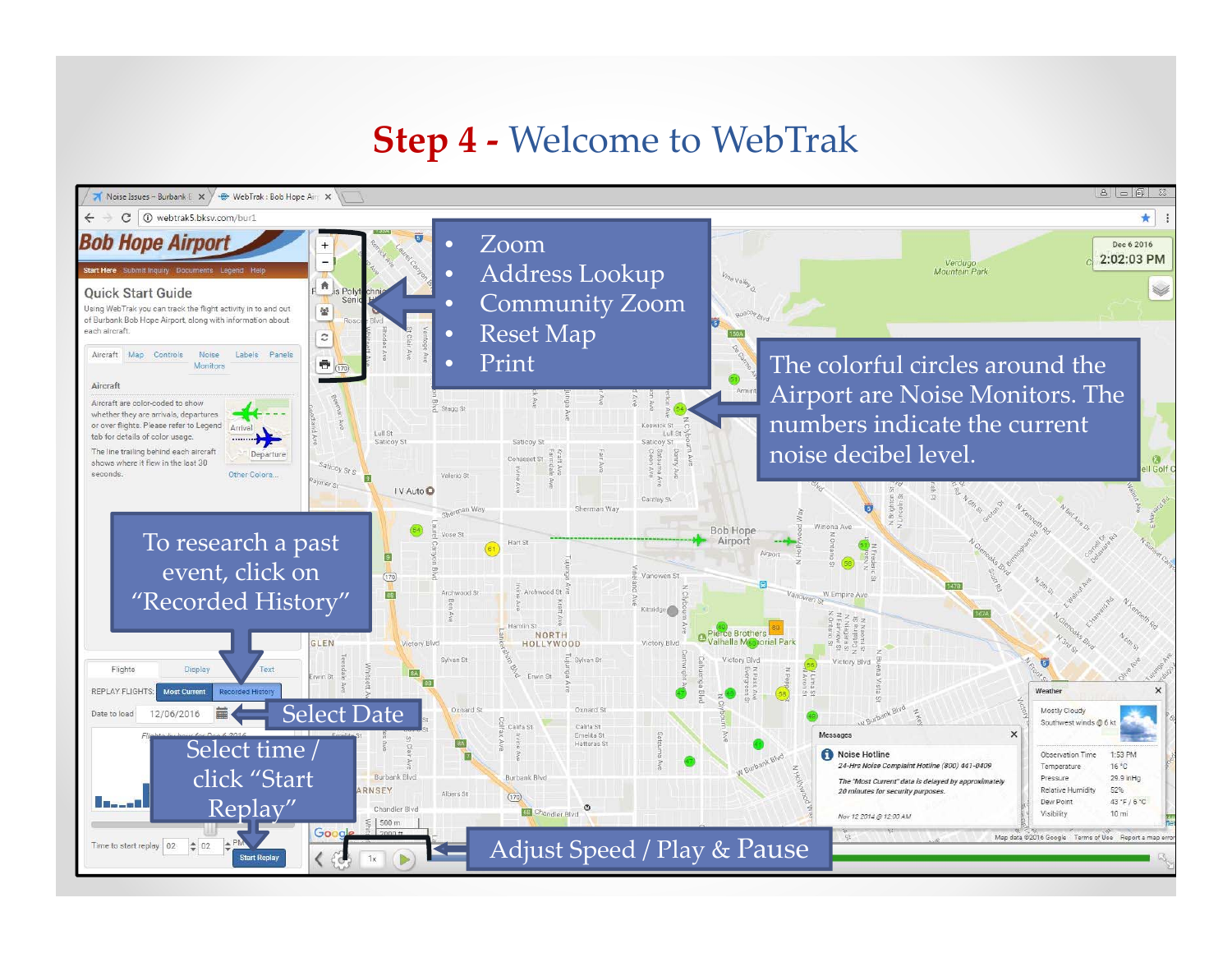## **Step <sup>4</sup> ‐** Welcome to WebTrak

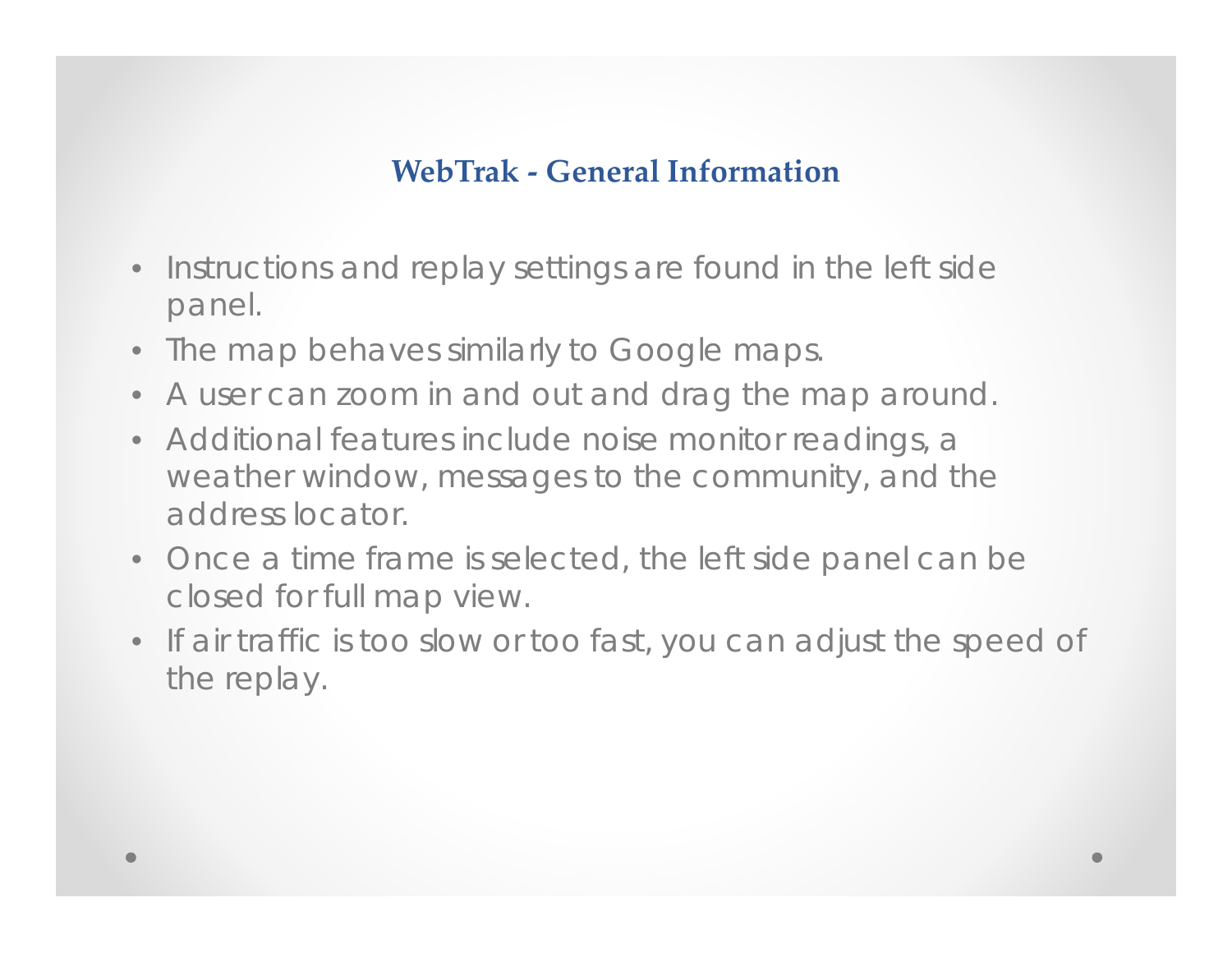### **WebTrak ‐ General Information**

- • Instructions and replay settings are found in the left side panel.
- The map behaves similarly to Google maps.
- •A user can zoom in and out and drag the map around.
- Additional features include noise monitor readings, a weather window, messages to the community, and the address locator.
- Once a time frame is selected, the left side panel can be closed for full map view.
- If air traffic is too slow or too fast, you can adjust the speed of the replay.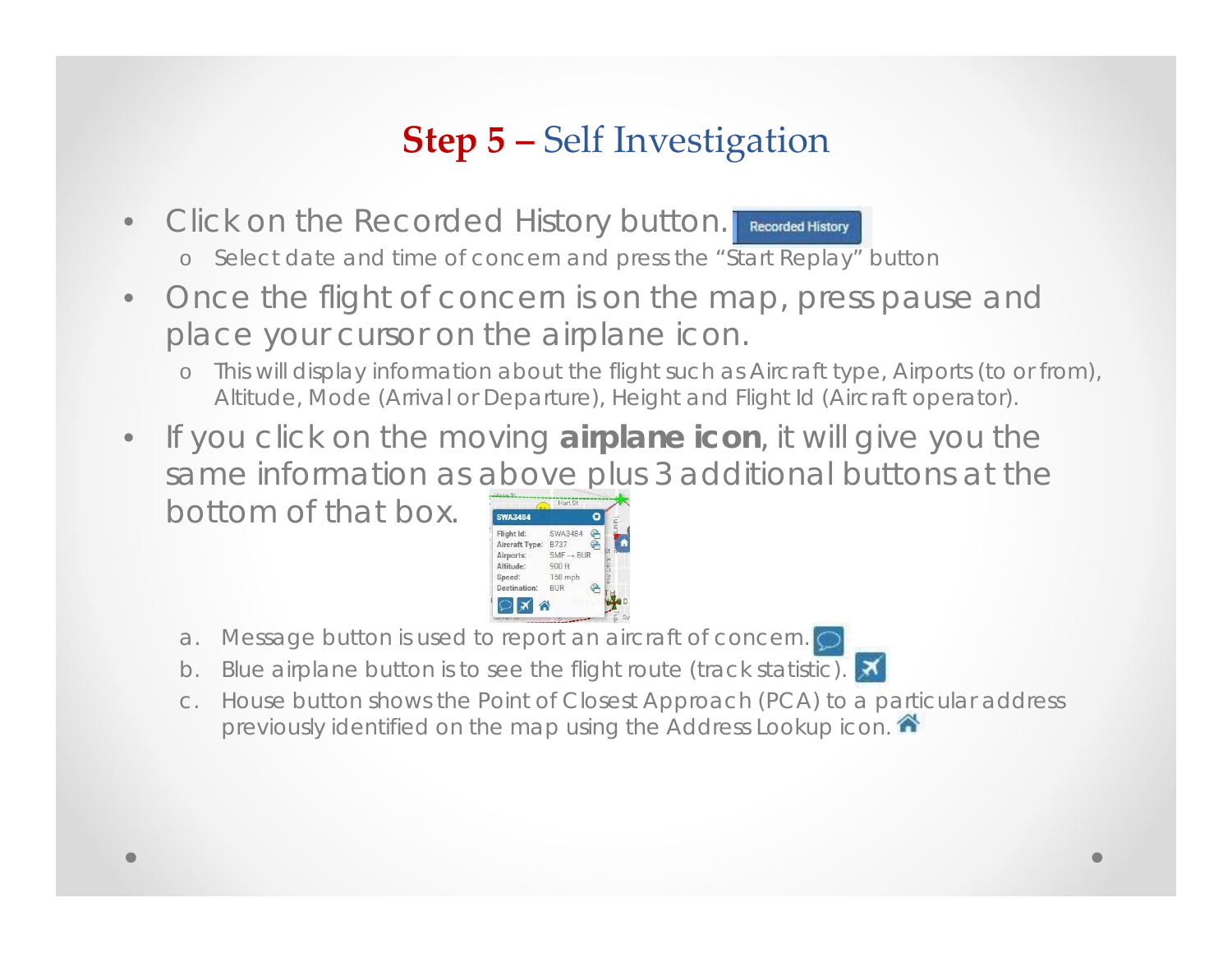# **Step <sup>5</sup> –** Self Investigation

- $\bullet$ Click on the Recorded History button. Recorded History
	- o Select date and time of concern and press the "Start Replay" button
- $\bullet$  Once the flight of concern is on the map, press pause and place your cursor on the airplane icon.
	- o This will display information about the flight such as Aircraft type, Airports (to or from), Altitude, Mode (Arrival or Departure), Height and Flight Id (Aircraft operator).
- $\bullet$  If you click on the moving **airplane icon**, it will give you the same information as above plus 3 additional buttons at the

bottom of that box.



- a. Message button is used to report an aircraft of concern.
- b. Blue airplane button is to see the flight route (track statistic).  $\blacktriangleright$
- c. House button shows the Point of Closest Approach (PCA) to a particular address previously identified on the map using the Address Lookup icon.